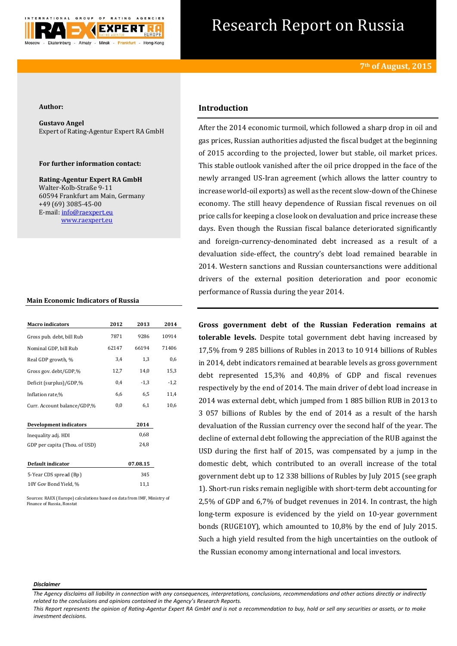

# Research Report on Russia

### **Author:**

**Gustavo Angel** Expert of Rating-Agentur Expert RA GmbH

# **For further information contact:**

**Rating-Agentur Expert RA GmbH** Walter-Kolb-Straße 9-11 60594 Frankfurt am Main, Germany +49 (69) 3085-45-00 E-mail[: info@raexpert.eu](mailto:info@raexpert.eu) [www.raexpert.eu](http://raexpert.eu/)

## **Main Economic Indicators of Russia**

| <b>Macro</b> indicators       | 2012  | 2013     | 2014   |
|-------------------------------|-------|----------|--------|
| Gross pub. debt, bill Rub     | 7871  | 9286     | 10914  |
| Nominal GDP, bill Rub         | 62147 | 66194    | 71406  |
| Real GDP growth, %            | 3,4   | 1,3      | 0,6    |
| Gross gov. debt/GDP,%         | 12,7  | 14,0     | 15,3   |
| Deficit (surplus)/GDP,%       | 0,4   | $-1,3$   | $-1,2$ |
| Inflation rate,%              | 6,6   | 6,5      | 11,4   |
| Curr. Account balance/GDP,%   | 0,0   | 6,1      | 10,6   |
|                               |       |          |        |
| <b>Development indicators</b> |       | 2014     |        |
| Inequality adj. HDI           |       | 0,68     |        |
| GDP per capita (Thou. of USD) |       | 24,8     |        |
|                               |       |          |        |
| Default indicator             |       | 07.08.15 |        |
| 5-Year CDS spread (Bp)        |       | 345      |        |
| 10Y Gov Bond Yield, %         |       | 11,1     |        |
|                               |       |          |        |

Sources: RAEX (Europe) calculations based on data from IMF, Ministry of Finance of Russia, Rosstat

# **Introduction**

After the 2014 economic turmoil, which followed a sharp drop in oil and gas prices, Russian authorities adjusted the fiscal budget at the beginning of 2015 according to the projected, lower but stable, oil market prices. This stable outlook vanished after the oil price dropped in the face of the newly arranged US-Iran agreement (which allows the latter country to increase world-oil exports) as well as the recent slow-down of the Chinese economy. The still heavy dependence of Russian fiscal revenues on oil price calls for keeping a close look on devaluation and price increase these days. Even though the Russian fiscal balance deteriorated significantly and foreign-currency-denominated debt increased as a result of a devaluation side-effect, the country's debt load remained bearable in 2014. Western sanctions and Russian countersanctions were additional drivers of the external position deterioration and poor economic performance of Russia during the year 2014.

**Gross government debt of the Russian Federation remains at tolerable levels.** Despite total government debt having increased by 17,5% from 9 285 billions of Rubles in 2013 to 10 914 billions of Rubles in 2014, debt indicators remained at bearable levels as gross government debt represented 15,3% and 40,8% of GDP and fiscal revenues respectively by the end of 2014. The main driver of debt load increase in 2014 was external debt, which jumped from 1 885 billion RUB in 2013 to 3 057 billions of Rubles by the end of 2014 as a result of the harsh devaluation of the Russian currency over the second half of the year. The decline of external debt following the appreciation of the RUB against the USD during the first half of 2015, was compensated by a jump in the domestic debt, which contributed to an overall increase of the total government debt up to 12 338 billions of Rubles by July 2015 (see graph 1). Short-run risks remain negligible with short-term debt accounting for 2,5% of GDP and 6,7% of budget revenues in 2014. In contrast, the high long-term exposure is evidenced by the yield on 10-year government bonds (RUGE10Y), which amounted to 10,8% by the end of July 2015. Such a high yield resulted from the high uncertainties on the outlook of the Russian economy among international and local investors.

#### *Disclaimer*

*The Agency disclaims all liability in connection with any consequences, interpretations, conclusions, recommendations and other actions directly or indirectly related to the conclusions and opinions contained in the Agency's Research Reports.*

*This Report represents the opinion of Rating-Agentur Expert RA GmbH and is not a recommendation to buy, hold or sell any securities or assets, or to make investment decisions.*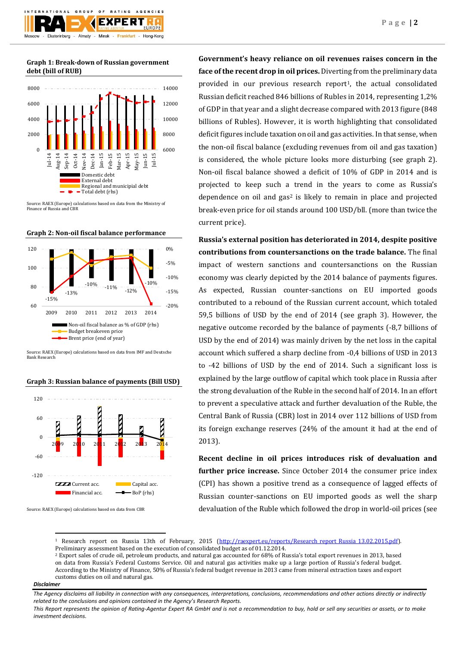**Graph 1: Break-down of Russian government debt (bill of RUB)**



Source: RAEX (Europe) calculations based on data from the Ministry of Finance of Russia and CBR





Source: RAEX (Europe) calculations based on data from IMF and Deutsche Bank Research





Source: RAEX (Europe) calculations based on data from CBR

**Government's heavy reliance on oil revenues raises concern in the face of the recent drop in oil prices.** Diverting from the preliminary data provided in our previous research report<sup>1</sup>, the actual consolidated Russian deficit reached 846 billions of Rubles in 2014, representing 1,2% of GDP in that year and a slight decrease compared with 2013 figure (848 billions of Rubles). However, it is worth highlighting that consolidated deficit figures include taxation on oil and gas activities. In that sense, when the non-oil fiscal balance (excluding revenues from oil and gas taxation) is considered, the whole picture looks more disturbing (see graph 2). Non-oil fiscal balance showed a deficit of 10% of GDP in 2014 and is projected to keep such a trend in the years to come as Russia's dependence on oil and  $gas<sup>2</sup>$  is likely to remain in place and projected break-even price for oil stands around 100 USD/bll. (more than twice the current price).

**Russia's external position has deteriorated in 2014, despite positive contributions from countersanctions on the trade balance.** The final impact of western sanctions and countersanctions on the Russian economy was clearly depicted by the 2014 balance of payments figures. As expected, Russian counter-sanctions on EU imported goods contributed to a rebound of the Russian current account, which totaled 59,5 billions of USD by the end of 2014 (see graph 3). However, the negative outcome recorded by the balance of payments (-8,7 billions of USD by the end of 2014) was mainly driven by the net loss in the capital account which suffered a sharp decline from -0,4 billions of USD in 2013 to -42 billions of USD by the end of 2014. Such a significant loss is explained by the large outflow of capital which took place in Russia after the strong devaluation of the Ruble in the second half of 2014. In an effort to prevent a speculative attack and further devaluation of the Ruble, the Central Bank of Russia (CBR) lost in 2014 over 112 billions of USD from its foreign exchange reserves (24% of the amount it had at the end of 2013).

**Recent decline in oil prices introduces risk of devaluation and further price increase.** Since October 2014 the consumer price index (CPI) has shown a positive trend as a consequence of lagged effects of Russian counter-sanctions on EU imported goods as well the sharp devaluation of the Ruble which followed the drop in world-oil prices (see

<sup>1</sup> Research report on Russia 13th of February, 2015 (http://raexpert.eu/reports/Research report Russia 13.02.2015.pdf). Preliminary assessment based on the execution of consolidated budget as of 01.12.2014.

<sup>2</sup> Export sales of crude oil, petroleum products, and natural gas accounted for 68% of Russia's total export revenues in 2013, based on data from Russia's Federal Customs Service. Oil and natural gas activities make up a large portion of Russia's federal budget. According to the Ministry of Finance, 50% of Russia's federal budget revenue in 2013 came from mineral extraction taxes and export customs duties on oil and natural gas.

## *Disclaimer*

**.** 

*This Report represents the opinion of Rating-Agentur Expert RA GmbH and is not a recommendation to buy, hold or sell any securities or assets, or to make investment decisions.*

*The Agency disclaims all liability in connection with any consequences, interpretations, conclusions, recommendations and other actions directly or indirectly related to the conclusions and opinions contained in the Agency's Research Reports.*